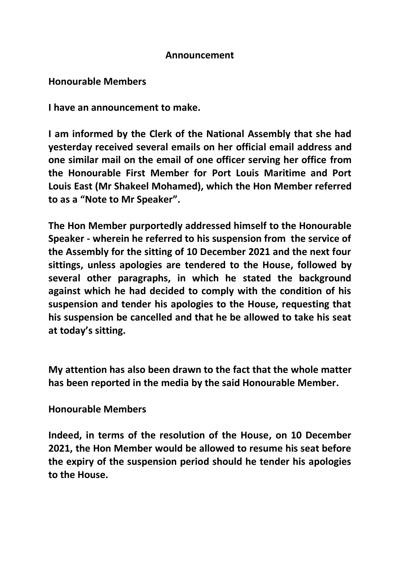## **Announcement**

## **Honourable Members**

**I have an announcement to make.**

**I am informed by the Clerk of the National Assembly that she had yesterday received several emails on her official email address and one similar mail on the email of one officer serving her office from the Honourable First Member for Port Louis Maritime and Port Louis East (Mr Shakeel Mohamed), which the Hon Member referred to as a "Note to Mr Speaker".** 

**The Hon Member purportedly addressed himself to the Honourable Speaker - wherein he referred to his suspension from the service of the Assembly for the sitting of 10 December 2021 and the next four sittings, unless apologies are tendered to the House, followed by several other paragraphs, in which he stated the background against which he had decided to comply with the condition of his suspension and tender his apologies to the House, requesting that his suspension be cancelled and that he be allowed to take his seat at today's sitting.** 

**My attention has also been drawn to the fact that the whole matter has been reported in the media by the said Honourable Member.** 

## **Honourable Members**

**Indeed, in terms of the resolution of the House, on 10 December 2021, the Hon Member would be allowed to resume his seat before the expiry of the suspension period should he tender his apologies to the House.**